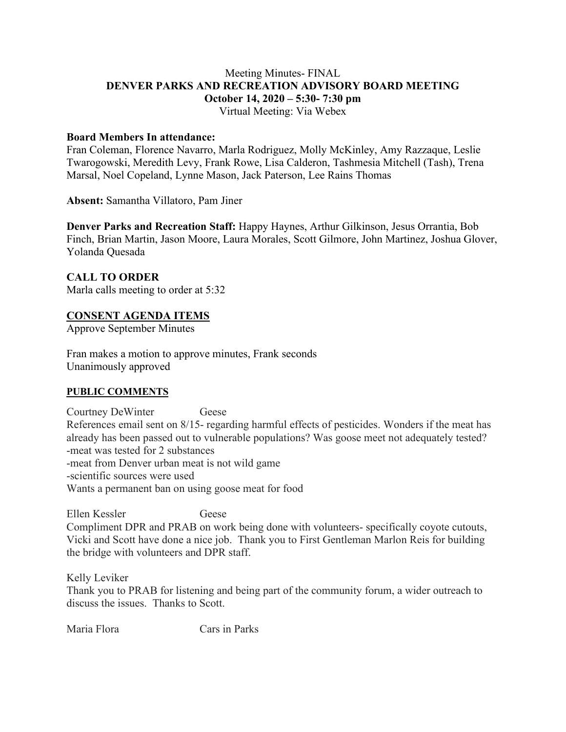#### Meeting Minutes- FINAL **DENVER PARKS AND RECREATION ADVISORY BOARD MEETING October 14, 2020 – 5:30- 7:30 pm** Virtual Meeting: Via Webex

#### **Board Members In attendance:**

Fran Coleman, Florence Navarro, Marla Rodriguez, Molly McKinley, Amy Razzaque, Leslie Twarogowski, Meredith Levy, Frank Rowe, Lisa Calderon, Tashmesia Mitchell (Tash), Trena Marsal, Noel Copeland, Lynne Mason, Jack Paterson, Lee Rains Thomas

**Absent:** Samantha Villatoro, Pam Jiner

**Denver Parks and Recreation Staff:** Happy Haynes, Arthur Gilkinson, Jesus Orrantia, Bob Finch, Brian Martin, Jason Moore, Laura Morales, Scott Gilmore, John Martinez, Joshua Glover, Yolanda Quesada

**CALL TO ORDER**

Marla calls meeting to order at 5:32

### **CONSENT AGENDA ITEMS**

Approve September Minutes

Fran makes a motion to approve minutes, Frank seconds Unanimously approved

#### **PUBLIC COMMENTS**

Courtney DeWinter Geese References email sent on 8/15- regarding harmful effects of pesticides. Wonders if the meat has already has been passed out to vulnerable populations? Was goose meet not adequately tested? -meat was tested for 2 substances -meat from Denver urban meat is not wild game -scientific sources were used Wants a permanent ban on using goose meat for food

Ellen Kessler Geese Compliment DPR and PRAB on work being done with volunteers- specifically coyote cutouts, Vicki and Scott have done a nice job. Thank you to First Gentleman Marlon Reis for building the bridge with volunteers and DPR staff.

Kelly Leviker Thank you to PRAB for listening and being part of the community forum, a wider outreach to discuss the issues. Thanks to Scott.

Maria Flora Cars in Parks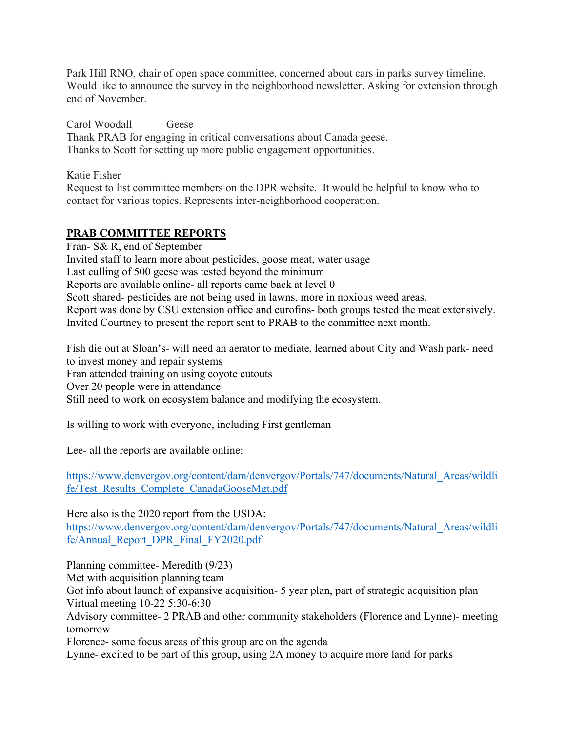Park Hill RNO, chair of open space committee, concerned about cars in parks survey timeline. Would like to announce the survey in the neighborhood newsletter. Asking for extension through end of November.

Carol Woodall Geese Thank PRAB for engaging in critical conversations about Canada geese. Thanks to Scott for setting up more public engagement opportunities.

Katie Fisher

Request to list committee members on the DPR website. It would be helpful to know who to contact for various topics. Represents inter-neighborhood cooperation.

# **PRAB COMMITTEE REPORTS**

Fran- S& R, end of September Invited staff to learn more about pesticides, goose meat, water usage Last culling of 500 geese was tested beyond the minimum Reports are available online- all reports came back at level 0 Scott shared- pesticides are not being used in lawns, more in noxious weed areas. Report was done by CSU extension office and eurofins- both groups tested the meat extensively. Invited Courtney to present the report sent to PRAB to the committee next month.

Fish die out at Sloan's- will need an aerator to mediate, learned about City and Wash park- need to invest money and repair systems Fran attended training on using coyote cutouts Over 20 people were in attendance Still need to work on ecosystem balance and modifying the ecosystem.

Is willing to work with everyone, including First gentleman

Lee- all the reports are available online:

[https://www.denvergov.org/content/dam/denvergov/Portals/747/documents/Natural\\_Areas/wildli](https://www.denvergov.org/content/dam/denvergov/Portals/747/documents/Natural_Areas/wildlife/Test_Results_Complete_CanadaGooseMgt.pdf) [fe/Test\\_Results\\_Complete\\_CanadaGooseMgt.pdf](https://www.denvergov.org/content/dam/denvergov/Portals/747/documents/Natural_Areas/wildlife/Test_Results_Complete_CanadaGooseMgt.pdf)

Here also is the 2020 report from the USDA:

[https://www.denvergov.org/content/dam/denvergov/Portals/747/documents/Natural\\_Areas/wildli](https://www.denvergov.org/content/dam/denvergov/Portals/747/documents/Natural_Areas/wildlife/Annual_Report_DPR_Final_FY2020.pdf) [fe/Annual\\_Report\\_DPR\\_Final\\_FY2020.pdf](https://www.denvergov.org/content/dam/denvergov/Portals/747/documents/Natural_Areas/wildlife/Annual_Report_DPR_Final_FY2020.pdf)

Planning committee- Meredith (9/23)

Met with acquisition planning team

Got info about launch of expansive acquisition- 5 year plan, part of strategic acquisition plan Virtual meeting 10-22 5:30-6:30

Advisory committee- 2 PRAB and other community stakeholders (Florence and Lynne)- meeting tomorrow

Florence- some focus areas of this group are on the agenda

Lynne- excited to be part of this group, using 2A money to acquire more land for parks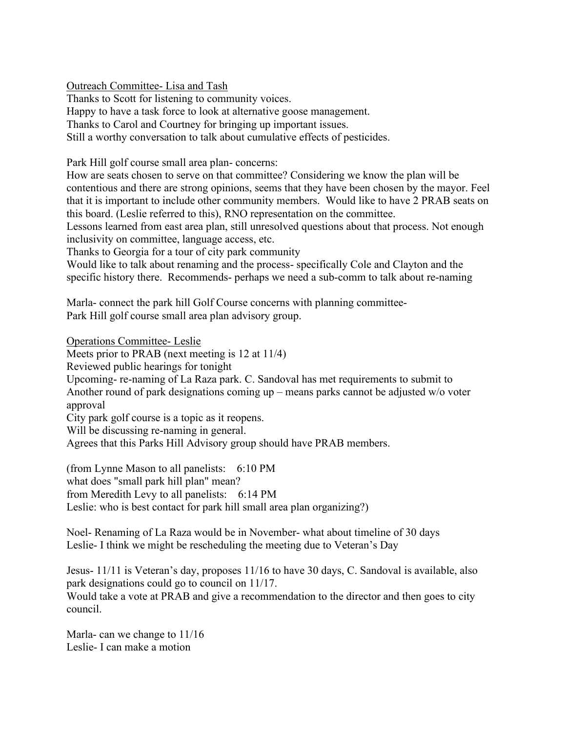Outreach Committee- Lisa and Tash

Thanks to Scott for listening to community voices. Happy to have a task force to look at alternative goose management. Thanks to Carol and Courtney for bringing up important issues. Still a worthy conversation to talk about cumulative effects of pesticides.

Park Hill golf course small area plan- concerns:

How are seats chosen to serve on that committee? Considering we know the plan will be contentious and there are strong opinions, seems that they have been chosen by the mayor. Feel that it is important to include other community members. Would like to have 2 PRAB seats on this board. (Leslie referred to this), RNO representation on the committee.

Lessons learned from east area plan, still unresolved questions about that process. Not enough inclusivity on committee, language access, etc.

Thanks to Georgia for a tour of city park community

Would like to talk about renaming and the process- specifically Cole and Clayton and the specific history there. Recommends- perhaps we need a sub-comm to talk about re-naming

Marla- connect the park hill Golf Course concerns with planning committee-Park Hill golf course small area plan advisory group.

Operations Committee- Leslie

Meets prior to PRAB (next meeting is 12 at 11/4)

Reviewed public hearings for tonight

Upcoming- re-naming of La Raza park. C. Sandoval has met requirements to submit to Another round of park designations coming up – means parks cannot be adjusted w/o voter approval

City park golf course is a topic as it reopens.

Will be discussing re-naming in general.

Agrees that this Parks Hill Advisory group should have PRAB members.

(from Lynne Mason to all panelists: 6:10 PM what does "small park hill plan" mean? from Meredith Levy to all panelists: 6:14 PM Leslie: who is best contact for park hill small area plan organizing?)

Noel- Renaming of La Raza would be in November- what about timeline of 30 days Leslie- I think we might be rescheduling the meeting due to Veteran's Day

Jesus- 11/11 is Veteran's day, proposes 11/16 to have 30 days, C. Sandoval is available, also park designations could go to council on 11/17.

Would take a vote at PRAB and give a recommendation to the director and then goes to city council.

Marla- can we change to  $11/16$ Leslie- I can make a motion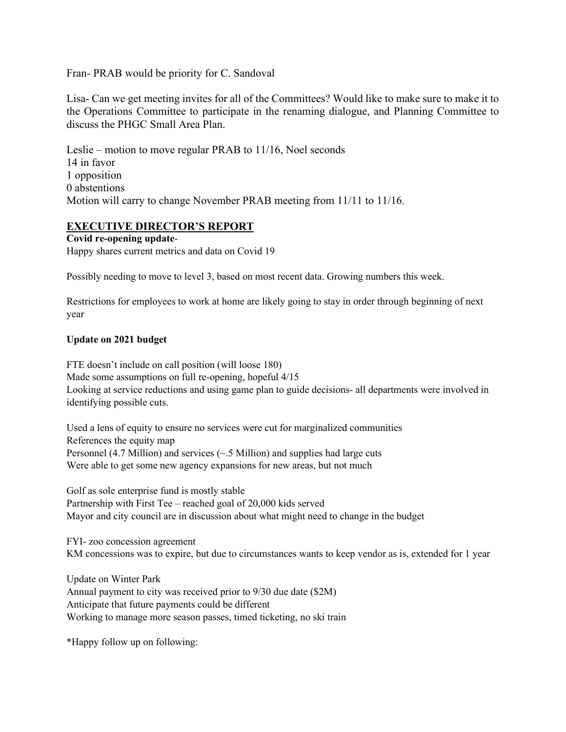Fran- PRAB would be priority for C. Sandoval

Lisa- Can we get meeting invites for all of the Committees? Would like to make sure to make it to the Operations Committee to participate in the renaming dialogue, and Planning Committee to discuss the PHGC Small Area Plan.

Leslie – motion to move regular PRAB to 11/16, Noel seconds 14 in favor 1 opposition 0 abstentions Motion will carry to change November PRAB meeting from 11/11 to 11/16.

#### **EXECUTIVE DIRECTOR'S REPORT**

**Covid re-opening update**-Happy shares current metrics and data on Covid 19

Possibly needing to move to level 3, based on most recent data. Growing numbers this week.

Restrictions for employees to work at home are likely going to stay in order through beginning of next year

#### **Update on 2021 budget**

FTE doesn't include on call position (will loose 180) Made some assumptions on full re-opening, hopeful 4/15 Looking at service reductions and using game plan to guide decisions- all departments were involved in identifying possible cuts.

Used a lens of equity to ensure no services were cut for marginalized communities References the equity map Personnel (4.7 Million) and services (~.5 Million) and supplies had large cuts Were able to get some new agency expansions for new areas, but not much

Golf as sole enterprise fund is mostly stable Partnership with First Tee – reached goal of 20,000 kids served Mayor and city council are in discussion about what might need to change in the budget

FYI- zoo concession agreement KM concessions was to expire, but due to circumstances wants to keep vendor as is, extended for 1 year

Update on Winter Park Annual payment to city was received prior to 9/30 due date (\$2M) Anticipate that future payments could be different Working to manage more season passes, timed ticketing, no ski train

\*Happy follow up on following: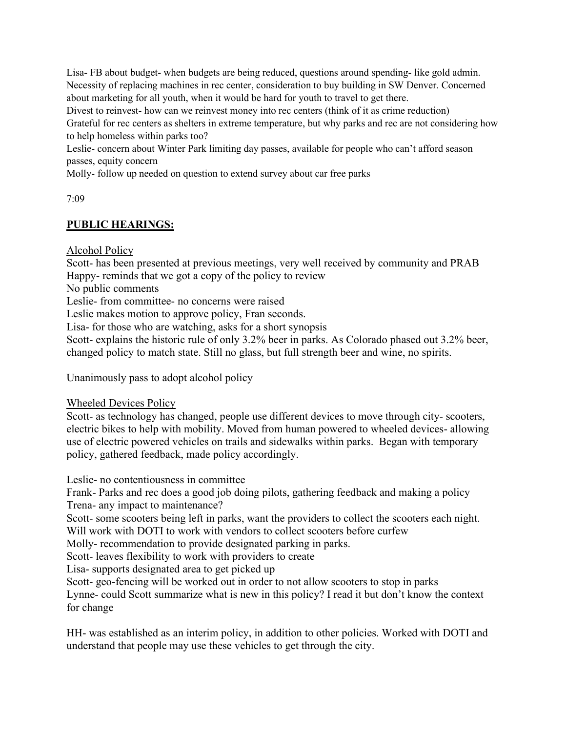Lisa- FB about budget- when budgets are being reduced, questions around spending- like gold admin. Necessity of replacing machines in rec center, consideration to buy building in SW Denver. Concerned about marketing for all youth, when it would be hard for youth to travel to get there.

Divest to reinvest- how can we reinvest money into rec centers (think of it as crime reduction)

Grateful for rec centers as shelters in extreme temperature, but why parks and rec are not considering how to help homeless within parks too?

Leslie- concern about Winter Park limiting day passes, available for people who can't afford season passes, equity concern

Molly- follow up needed on question to extend survey about car free parks

7:09

# **PUBLIC HEARINGS:**

Alcohol Policy

Scott- has been presented at previous meetings, very well received by community and PRAB Happy- reminds that we got a copy of the policy to review

No public comments

Leslie- from committee- no concerns were raised

Leslie makes motion to approve policy, Fran seconds.

Lisa- for those who are watching, asks for a short synopsis

Scott- explains the historic rule of only 3.2% beer in parks. As Colorado phased out 3.2% beer, changed policy to match state. Still no glass, but full strength beer and wine, no spirits.

Unanimously pass to adopt alcohol policy

## Wheeled Devices Policy

Scott- as technology has changed, people use different devices to move through city- scooters, electric bikes to help with mobility. Moved from human powered to wheeled devices- allowing use of electric powered vehicles on trails and sidewalks within parks. Began with temporary policy, gathered feedback, made policy accordingly.

Leslie- no contentiousness in committee

Frank- Parks and rec does a good job doing pilots, gathering feedback and making a policy Trena- any impact to maintenance?

Scott- some scooters being left in parks, want the providers to collect the scooters each night. Will work with DOTI to work with vendors to collect scooters before curfew

Molly- recommendation to provide designated parking in parks.

Scott- leaves flexibility to work with providers to create

Lisa- supports designated area to get picked up

Scott- geo-fencing will be worked out in order to not allow scooters to stop in parks Lynne- could Scott summarize what is new in this policy? I read it but don't know the context for change

HH- was established as an interim policy, in addition to other policies. Worked with DOTI and understand that people may use these vehicles to get through the city.